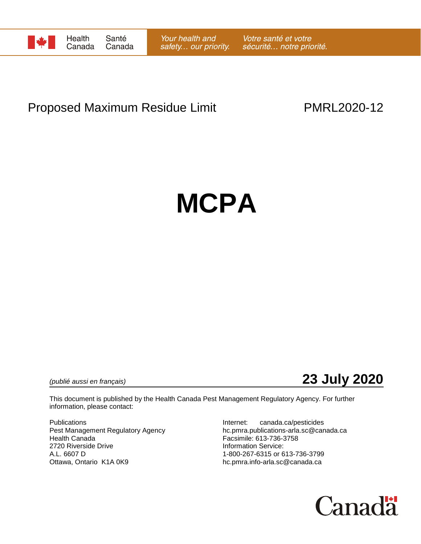

## Proposed Maximum Residue Limit **PMRL2020-12**

# **MCPA**

*(publié aussi en français)* **23 July 2020**

This document is published by the Health Canada Pest Management Regulatory Agency. For further information, please contact:

Pest Management Regulatory Agency<br>Health Canada 2720 Riverside Drive **Information Service:**<br>A.L. 6607 D 1-800-267-6315 or 6 A.L. 6607 D<br>Ottawa, Ontario K1A 0K9 Degree of the contraction of the prima info-aria.sc@canada.ca<br>https://ec.phra.info-aria.sc@canada.ca

Publications<br>
Pest Management Regulatory Agency<br>
Pest Management Regulatory Agency<br>
The propositions-arla.sc@canada.ca Facsimile: 613-736-3758 hc.pmra.info-arla.sc@canada.ca

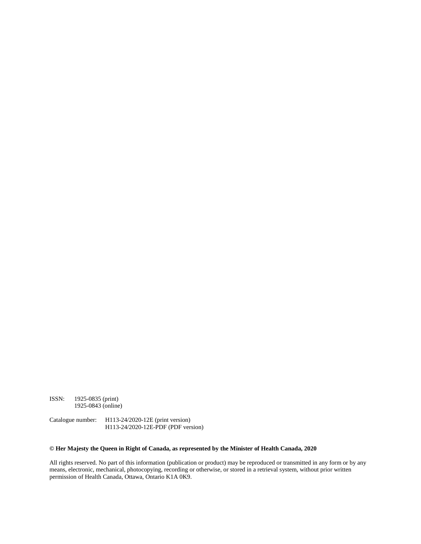ISSN: 1925-0835 (print) 1925-0843 (online)

Catalogue number: H113-24/2020-12E (print version) H113-24/2020-12E-PDF (PDF version)

#### **© Her Majesty the Queen in Right of Canada, as represented by the Minister of Health Canada, 2020**

All rights reserved. No part of this information (publication or product) may be reproduced or transmitted in any form or by any means, electronic, mechanical, photocopying, recording or otherwise, or stored in a retrieval system, without prior written permission of Health Canada, Ottawa, Ontario K1A 0K9.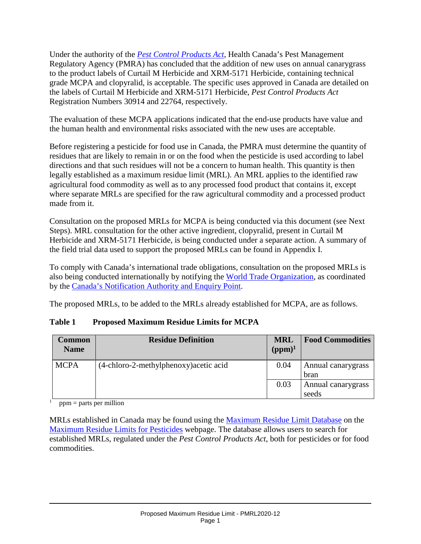Under the authority of the *[Pest Control Products Act](http://laws-lois.justice.gc.ca/eng/acts/P-9.01/)*, Health Canada's Pest Management Regulatory Agency (PMRA) has concluded that the addition of new uses on annual canarygrass to the product labels of Curtail M Herbicide and XRM-5171 Herbicide, containing technical grade MCPA and clopyralid, is acceptable. The specific uses approved in Canada are detailed on the labels of Curtail M Herbicide and XRM-5171 Herbicide, *Pest Control Products Act* Registration Numbers 30914 and 22764, respectively.

The evaluation of these MCPA applications indicated that the end-use products have value and the human health and environmental risks associated with the new uses are acceptable.

Before registering a pesticide for food use in Canada, the PMRA must determine the quantity of residues that are likely to remain in or on the food when the pesticide is used according to label directions and that such residues will not be a concern to human health. This quantity is then legally established as a maximum residue limit (MRL). An MRL applies to the identified raw agricultural food commodity as well as to any processed food product that contains it, except where separate MRLs are specified for the raw agricultural commodity and a processed product made from it.

Consultation on the proposed MRLs for MCPA is being conducted via this document (see Next Steps). MRL consultation for the other active ingredient, clopyralid, present in Curtail M Herbicide and XRM-5171 Herbicide, is being conducted under a separate action. A summary of the field trial data used to support the proposed MRLs can be found in Appendix I.

To comply with Canada's international trade obligations, consultation on the proposed MRLs is also being conducted internationally by notifying the [World Trade Organization,](http://www.wto.org/) as coordinated by the [Canada's Notification Authority and Enquiry Point.](http://www.international.gc.ca/trade-agreements-accords-commerciaux/wto-omc/enquiry.aspx?lang=eng)

The proposed MRLs, to be added to the MRLs already established for MCPA, are as follows.

#### **Table 1 Proposed Maximum Residue Limits for MCPA**

| <b>Common</b><br><b>Name</b> | <b>Residue Definition</b>              | <b>MRL</b><br>$(ppm)^1$ | <b>Food Commodities</b>     |
|------------------------------|----------------------------------------|-------------------------|-----------------------------|
| <b>MCPA</b>                  | (4-chloro-2-methylphenoxy) acetic acid | 0.04                    | Annual canarygrass<br>bran  |
|                              |                                        | 0.03                    | Annual canarygrass<br>seeds |

<sup>1</sup> ppm = parts per million

MRLs established in Canada may be found using the [Maximum Residue Limit Database](http://pr-rp.hc-sc.gc.ca/mrl-lrm/index-eng.php) on the [Maximum Residue Limits for Pesticides](https://www.canada.ca/en/health-canada/services/consumer-product-safety/pesticides-pest-management/public/protecting-your-health-environment/pesticides-food/maximum-residue-limits-pesticides.html) webpage. The database allows users to search for established MRLs, regulated under the *Pest Control Products Act*, both for pesticides or for food commodities.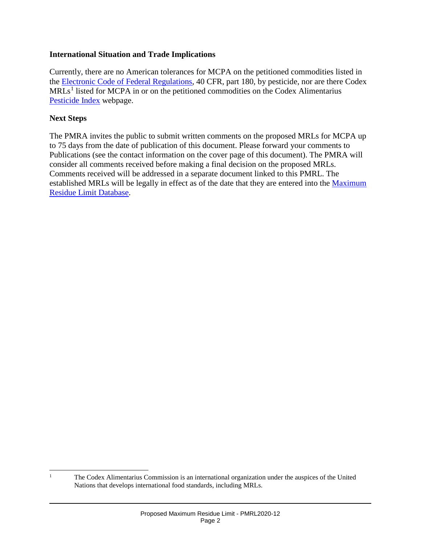#### **International Situation and Trade Implications**

Currently, there are no American tolerances for MCPA on the petitioned commodities listed in the [Electronic Code of Federal Regulations,](http://www.ecfr.gov/cgi-bin/retrieveECFR?gp=1&SID=ffae5f82b935173c30cb6e67e1ba3811&ty=HTML&h=L&n=pt40.24.180&r=PART) 40 CFR, part 180, by pesticide, nor are there Codex  $MRLs<sup>1</sup>$  $MRLs<sup>1</sup>$  $MRLs<sup>1</sup>$  listed for MCPA in or on the petitioned commodities on the Codex Alimentarius [Pesticide Index](http://www.fao.org/fao-who-codexalimentarius/codex-texts/dbs/pestres/pesticides/en/) webpage.

#### **Next Steps**

The PMRA invites the public to submit written comments on the proposed MRLs for MCPA up to 75 days from the date of publication of this document. Please forward your comments to Publications (see the contact information on the cover page of this document). The PMRA will consider all comments received before making a final decision on the proposed MRLs. Comments received will be addressed in a separate document linked to this PMRL. The established MRLs will be legally in effect as of the date that they are entered into the [Maximum](http://pr-rp.hc-sc.gc.ca/mrl-lrm/index-eng.php) Residue Limit Database.

<span id="page-3-0"></span><sup>&</sup>lt;sup>1</sup> The Codex Alimentarius Commission is an international organization under the auspices of the United Nations that develops international food standards, including MRLs.